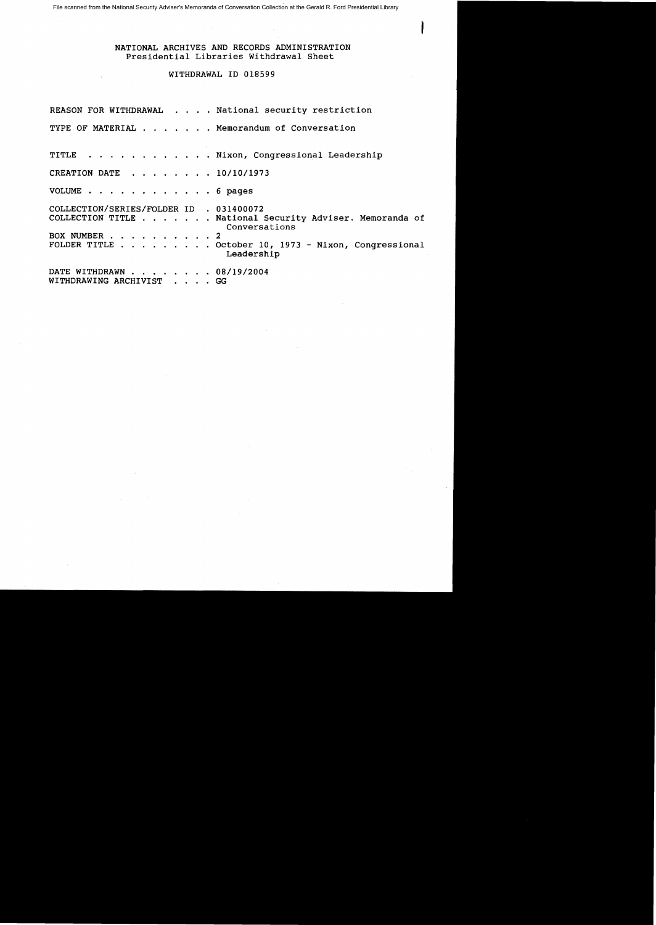File scanned from the National Security Adviser's Memoranda of Conversation Collection at the Gerald R. Ford Presidential Library

## NATIONAL ARCHIVES AND RECORDS ADMINISTRATION Presidential Libraries Withdrawal Sheet

J

## WITHDRAWAL ID 018599

|                                                         | REASON FOR WITHDRAWAL National security restriction                                                                                             |
|---------------------------------------------------------|-------------------------------------------------------------------------------------------------------------------------------------------------|
|                                                         | TYPE OF MATERIAL Memorandum of Conversation                                                                                                     |
|                                                         | TITLE Nixon, Congressional Leadership                                                                                                           |
| CREATION DATE 10/10/1973                                |                                                                                                                                                 |
| VOLUME 6 pages                                          |                                                                                                                                                 |
| COLLECTION/SERIES/FOLDER ID . 031400072<br>BOX NUMBER 2 | COLLECTION TITLE National Security Adviser. Memoranda of<br>Conversations<br>FOLDER TITLE October 10, 1973 - Nixon, Congressional<br>Leadership |
| DATE WITHDRAWN 08/19/2004<br>WITHDRAWING ARCHIVIST GG   |                                                                                                                                                 |